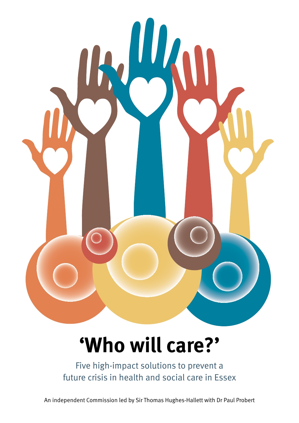

# **'Who will care?'**

Five high-impact solutions to prevent a future crisis in health and social care in Essex

An independent Commission led by Sir Thomas Hughes-Hallett with Dr Paul Probert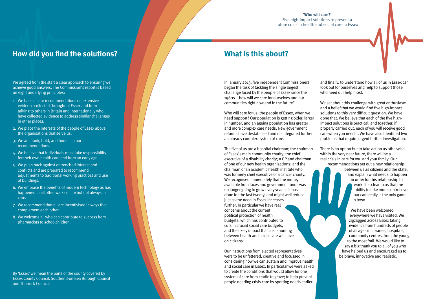In January 2013, five independent Commissioners began the task of tackling the single largest challenge faced by the people of Essex since the 1960s – how will we care for ourselves and our communities right now and in the future?

Who will care for us, the people of Essex, when we need support? Our population is getting older, larger in number, and an ageing population has greater and more complex care needs. New government reforms have destabilised and disintegrated further an already complex system of care.

The five of us are a hospital chairman; the chairman of Essex's main community charity; the chief executive of a disability charity; a GP and chairman of one of our new health organisations; and the chairman of an academic health institute who was formerly chief executive of a cancer charity. We recognised immediately that the money available from taxes and government funds was no longer going to grow every year as it has done for the last twenty, and might well reduce just as the need in Essex increases further. In particular we have real concerns about the current political protection of health budgets, which has contributed to cuts in crucial social care budgets, and the likely impact that cost shunting between health and social care will have on citizens.

Our instructions from elected representatives were to be unfettered, creative and focussed in considering how we can sustain and improve health and social care in Essex. In particular we were asked to create the conditions that would allow for one system of care from cradle to grave; to help prevent people needing crisis care by spotting needs earlier; and finally, to understand how all of us in Essex can look out for ourselves and help to support those who need our help most.

We set about this challenge with great enthusiasm and a belief that we would find five high-impact solutions to this very difficult question. We have done that. We believe that each of the five highimpact solutions is practical, and together, if properly carried out, each of you will receive good care when you need it. We have also identified two problems that require urgent further investigation.

There is no option but to take action as otherwise, within the very near future, there will be a real crisis in care for you and your family. Our

recommendations set out a new relationship between us as citizens and the state, and explain what needs to happen in order for this relationship to work. It is clear to us that the ability to take more control over our care really is the only game in town.

> We have been welcomed everywhere we have visited. We zigzagged across Essex taking evidence from hundreds of people of all ages in libraries, hospitals, community centres, from the young to the most frail. We would like to say a big thank you to all of you who have helped us and encouraged us to be brave, innovative and realistic.

## **What is this about?**

We agreed from the start a clear approach to ensuring we achieve good answers. The Commission's report is based on eight underlying principles:

- 1. We base all our recommendations on extensive evidence collected throughout Essex and from talking to others in Britain and internationally who have collected evidence to address similar challenges in other places.
- 2. We place the interests of the people of Essex above the organisations that serve us.
- 3. We are frank, bold, and honest in our recommendations.
- 4. We believe that individuals must take responsibility for their own health care and from an early age.
- 5. We push back against entrenched interest and conflicts and are prepared to recommend adjustments to traditional working practices and use of buildings.
- 6. We embrace the benefits of modern technology as has happened in all other walks of life but not always in care.
- 7. We recommend that all are incentivised in ways that complement each other.
- 8. We welcome all who can contribute to success from pharmacists to schoolchildren.

# By 'Essex' we mean the parts of the county covered by

Essex County Council, Southend-on-Sea Borough Council and Thurrock Council.

## **How did you find the solutions?**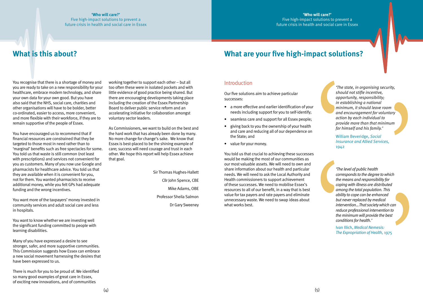You recognise that there is a shortage of money and you are ready to take on a new responsibility for your healthcare, embrace modern technology, and share your own data for your own good. But you have also said that the NHS, social care, charities and other organisations will have to be bolder, better co-ordinated, easier to access, more convenient, and more flexible with their workforce, if they are to remain supportive of the people of Essex.

You have encouraged us to recommend that if financial resources are constrained that they be targeted to those most in need rather than to 'marginal' benefits such as free spectacles for some. You told us that waste is still common (not least with prescriptions) and services not convenient for you as customers. Many of you now use Google and pharmacists for healthcare advice. You told us that they are available when it is convenient for you, not for them. You wanted pharmacists to receive additional money, while you felt GPs had adequate funding and the wrong incentives.

You want more of the taxpayers' money invested in community services and adult social care and less in hospitals.

You want to know whether we are investing well the significant funding committed to people with learning disabilities.

Many of you have expressed a desire to see stronger, safer, and more supportive communities. This Commission suggests how Essex can embrace a new social movement harnessing the desires that have been expressed to us.

There is much for you to be proud of. We identified so many good examples of great care in Essex, of exciting new innovations, and of communities

working together to support each other – but all too often these were in isolated pockets and with little evidence of good practice being shared. But there are encouraging developments taking place including the creation of the Essex Partnership Board to deliver public service reform and an accelerating initiative for collaboration amongst voluntary sector leaders.

As Commissioners, we want to build on the best and the hard work that has already been done by many. No more change for change's sake. We know that Essex is best-placed to be the shining example of care; success will need courage and trust in each other. We hope this report will help Essex achieve that goal.

> Sir Thomas Hughes-Hallett Cllr John Spence, CBE Mike Adams, OBE Professor Sheila Salmon Dr Gary Sweeney

### Introduction

Our five solutions aim to achieve particular successes:

- a more effective and earlier identification of your needs including support for you to self-identify;
- seamless care and support for all Essex people;
- • giving back to you the ownership of your health and care and reducing all of our dependence on the State; and
- value for your money.

You told us that crucial to achieving these successes would be making the most of our communities as our most valuable assets. We will need to own and share information about our health and particular needs. We will need to ask the Local Authority and Health commissioners to support achievement of these successes. We need to mobilise Essex's resources to all of our benefit, in a way that is best value for tax payers and rate payers and eliminate unnecessary waste. We need to swap ideas about what works best.

## **What are your five high-impact solutions?**

## **What is this about?**

#### **'Who will care?'**

Five high-impact solutions to prevent a future crisis in health and social care in Essex

> *'The state, in organising security, should not stifle incentive, opportunity, responsibility; in establishing a national minimum, it should leave room and encouragement for voluntary action by each individual to provide more than that minimum for himself and his family.'*

William Beveridge, *Social Insurance and Allied Services,*  1942



*'The level of public health corresponds to the degree to which the means and responsibility for coping with illness are distributed among the total population. This ability to cope can be enhanced but never replaced by medical intervention…That society which can reduce professional intervention to the minimum will provide the best conditions for health.'*

Ivan Illich, *Medical Nemesis: The Expropriation of Health,* 1975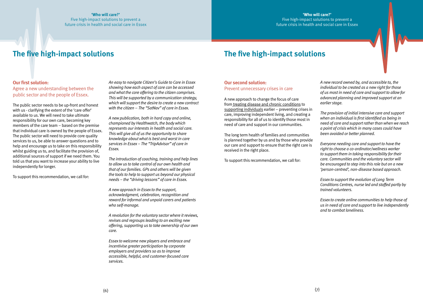#### **Our first solution:**

Agree a new understanding between the public sector and the people of Essex.

The public sector needs to be up-front and honest with us - clarifying the extent of the 'care offer' available to us. We will need to take ultimate responsibility for our own care, becoming key members of the care team – based on the premise that individual care is owned by the people of Essex. The public sector will need to provide core quality services to us, be able to answer questions and to help and encourage us to take on this responsibility whilst guiding us to, and facilitate the provision of, additional sources of support if we need them. You told us that you want to increase your ability to live independently for longer.

To support this recommendation, we call for:

*An easy to navigate Citizen's Guide to Care in Essex showing how each aspect of care can be accessed and what the core offering to the citizen comprises. This will be supported by a communication strategy, which will support the desire to create a new contract with the citizen – The "SatNav" of care in Essex.*

*A new publication, both in hard copy and online, championed by Healthwatch, the body which represents our interests in health and social care. This will give all of us the opportunity to share knowledge about what is best and worst in care services in Essex – The "TripAdvisor" of care in Essex.*

*The introduction of coaching, training and help lines to allow us to take control of our own health and that of our families. GPs and others will be given the tools to help to support us beyond our physical needs – the "driving lessons" of care in Essex.*

*A new approach in Essex to the support, acknowledgment, celebration, recognition and reward for informal and unpaid carers and patients who self-manage.*

*A revolution for the voluntary sector where it reviews, revises and regroups leading to an exciting new offering, supporting us to take ownership of our own care.*

*Essex to welcome new players and embrace and incentivise greater participation by corporate employers and providers so as to improve accessible, helpful, and customer-focused care services.*

#### **Our second solution:**

Prevent unnecessary crises in care

A new approach to change the focus of care from treating disease and chronic conditions to supporting individuals earlier – preventing crises in care, improving independent living, and creating a responsibility for all of us to identify those most in need of care and support in our communities.

The long term health of families and communities is planned together by us and by those who provide our care and support to ensure that the right care is received in the right place.

To support this recommendation, we call for:

*A new record owned by, and accessible to, the individual to be created as a new right for those of us most in need of care and support to allow for advanced planning and improved support at an earlier stage.*

*The provision of initial intensive care and support when an individual is first identified as being in need of care and support rather than when we reach a point of crisis which in many cases could have been avoided or better planned.*

*Everyone needing care and support to have the right to choose a co-ordinator/wellness worker to support them in taking responsibility for their care. Communities and the voluntary sector will be encouraged to step into this role but on a new 'person-centred', non-disease based approach.*

*Essex to support the evolution of Long Term Conditions Centres, nurse led and staffed partly by trained volunteers.*

*Essex to create online communities to help those of us in need of care and support to live independently and to combat loneliness.*

#### **'Who will care?'**

Five high-impact solutions to prevent a future crisis in health and social care in Essex

## **The five high-impact solutions The five high-impact solutions**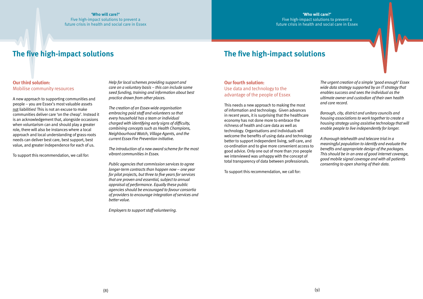#### **Our third solution:**  Mobilise community resources

A new approach to supporting communities and people – you are Essex's most valuable assets not liabilities! This is not an excuse to make communities deliver care 'on the cheap'. Instead it is an acknowledgement that, alongside occasions when voluntarism can and should play a greater role, there will also be instances where a local approach and local understanding of grass-roots needs can deliver best care, best support, best value, and greater independence for each of us.

To support this recommendation, we call for:

*Help for local schemes providing support and care on a voluntary basis – this can include some seed funding, training and information about best practice drawn from other places.* 

*The creation of an Essex-wide organisation embracing paid staff and volunteers so that every household has a team or individual charged with identifying early signs of difficulty, combining concepts such as Health Champions, Neighbourhood Watch, Village Agents, and the current Essex Fire Prevention initiative.*

*The introduction of a new award scheme for the most vibrant communities in Essex.*

*Public agencies that commission services to agree longer-term contracts than happen now – one year for pilot projects, but three to five years for services that are proven and essential, subject to annual appraisal of performance. Equally these public agencies should be encouraged to favour consortia of providers to encourage integration of services and better value.*

*Employers to support staff volunteering.*

#### **Our fourth solution:**

Use data and technology to the advantage of the people of Essex

This needs a new approach to making the most of information and technology. Given advances in recent years, it is surprising that the healthcare economy has not done more to embrace the richness of health and care data as well as technology. Organisations and individuals will welcome the benefits of using data and technology better to support independent living, self-care, and co-ordination and to give more convenient access to good advice. Only one out of more than 700 people we interviewed was unhappy with the concept of total transparency of data between professionals.

To support this recommendation, we call for:

*The urgent creation of a simple 'good enough' Essex wide data strategy supported by an IT strategy that enables success and sees the individual as the ultimate owner and custodian of their own health and care record.*

*Borough, city, district and unitary councils and housing associations to work together to create a housing strategy using assistive technology that will enable people to live independently for longer.* 

*A thorough telehealth and telecare trial in a meaningful population to identify and evaluate the benefits and appropriate design of the packages. This should be in an area of good internet coverage, good mobile signal coverage and with all patients consenting to open sharing of their data.*

## **The five high-impact solutions**

## **The five high-impact solutions**

#### **'Who will care?'**

Five high-impact solutions to prevent a future crisis in health and social care in Essex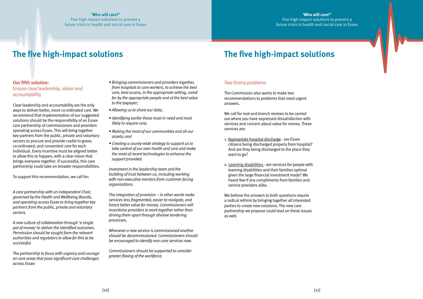### **Our fifth solution:**  Ensure clear leadership, vision and accountability

Clear leadership and accountability are the only ways to deliver better, more co-ordinated care. We recommend that implementation of our suggested solutions should be the responsibility of an Essex care partnership of commissioners and providers operating across Essex. This will bring together key partners from the public, private and voluntary sectors to procure and provide cradle to grave, co-ordinated, and convenient care for each individual. Every incentive must be aligned better to allow this to happen, with a clear vision that brings everyone together. If successful, this care partnership could take on broader responsibilities.

To support this recommendation, we call for:

*A care partnership with an independent Chair, governed by the Health and Wellbeing Boards, and operating across Essex to bring together key partners from the public, private and voluntary sectors.*

*A new culture of collaboration through 'a single pot of money' to deliver the identified outcomes. Permission should be sought from the relevant authorities and regulators to allow for this to be successful.*

*The partnership to focus with urgency and courage on core areas that pose significant care challenges across Essex:* 

- *Bringing commissioners and providers together, from hospitals to care workers, to achieve the best care, best access, in the appropriate setting, cared for by the appropriate people and at the best value to the taxpayer;*
- *Allowing us to share our data;*
- *Identifying earlier those most in need and most likely to require care;*
- *Making the most of our communities and all our assets; and*
- *Creating a county-wide strategy to support us to take control of our own health and care and make the most of recent technologies to enhance the support provided.*
- 1. Appropriate hospital discharge are Essex citizens being discharged properly from hospital? And are they being discharged to the place they want to go?
- 2. Learning disabilities are services for people with learning disabilities and their families optimal given the large financial investment made? We heard few if any compliments from families and service providers alike.

*Investment in the leadership team and the building of trust between us, including working with non-executive mentors from customer-facing organisations.*

*The integration of provision – in other words make services less fragmented, easier to navigate, and hence better value for money. Commissioners will incentivise providers to work together rather than driving them apart through divisive tendering processes.*

*Whenever a new service is commissioned another should be decommissioned. Commissioners should be encouraged to identify non-core services now.*

*Commissioners should be supported to consider greater flexing of the workforce.*

### Two thorny problems

The Commission also wants to make two recommendations to problems that need urgent answers.

We call for root and branch reviews to be carried out where you have expressed dissatisfaction with services and concern about value for money. These services are:

We believe the answers to both questions require a radical rethink by bringing together all interested parties to create new solutions. The new care partnership we propose could lead on these issues as well.

# **The five high-impact solutions**

# **The five high-impact solutions**

#### **'Who will care?'**

Five high-impact solutions to prevent a future crisis in health and social care in Essex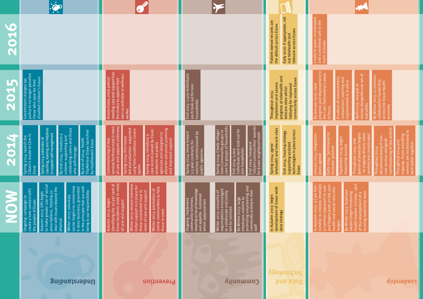## **Leadership**

a common approach to care and begins work on the core health and social care chala common approach to care<br>and begins work on the core<br>health and social care chal-<br>lenges

By Winter 2013: business<br>leaders begin mentoring<br>health leaders in Essex - part<br>of the development of a<br>trusting leadership team health leaders in Essex - part By Winter 2013: business leaders begin mentoring of the development of a trusting leadership team

Throughout 2014:<br>decommissioning of non-<br>core services alongside<br>commissioning of new activity commissioning of new activity Throughout 2014: inte-<br>gration of provision begins<br>- an ongoing drive to make<br>services less complicated decommissioning of noncore services alongside Throughout 2014:

Throughout 2014 and<br>ongoing: those providing<br>services are incentivised to<br>work better together services are incentivised to ongoing: those providing Throughout 2014 and work better together

A culture of measurement,<br>comparison, learning and<br>improvement is in place A culture of measurement, comparison, learning and improvement is in place

April 2015: one pot of<br>money alongside one set of<br>outcomes money alongside one set of April 2015: one pot of outcomes

By Winter 2015: a common,<br>collaborative leadership<br>across the Essex health<br>economy By Winter 2015: a common, collaborative leadership across the Essex health economy

| Toj<br>DEO       |                                                                                                                                                                                                                                                                                                                                                                                                                    |                                                                                                                                                                                                                                                                                                                                                                                                  |                                                                                                                                                                                                                                                                                                                                                                                                                      | Early 2016: if appropriate, roll<br>Patient-owned records are<br>the default across Essex<br>telecare across Essex<br>out telehealth and              | Cradle to grave co-ordinated<br>and convenient care is the   |
|------------------|--------------------------------------------------------------------------------------------------------------------------------------------------------------------------------------------------------------------------------------------------------------------------------------------------------------------------------------------------------------------------------------------------------------------|--------------------------------------------------------------------------------------------------------------------------------------------------------------------------------------------------------------------------------------------------------------------------------------------------------------------------------------------------------------------------------------------------|----------------------------------------------------------------------------------------------------------------------------------------------------------------------------------------------------------------------------------------------------------------------------------------------------------------------------------------------------------------------------------------------------------------------|-------------------------------------------------------------------------------------------------------------------------------------------------------|--------------------------------------------------------------|
| 2015             | policy to no longer penalise<br>those who save for their<br>disabled children's future<br>Government changes tax                                                                                                                                                                                                                                                                                                   | needing care and support has<br>own co-ordinator or wellness<br>the choice to appoint their<br>Across Essex, every person<br>worker                                                                                                                                                                                                                                                              | End 2015: 1,500 individuals<br>each look out for 600<br>households                                                                                                                                                                                                                                                                                                                                                   | progress at telehealth and<br>connectivity across Essex<br>implement and assess<br>lobbying for improved<br>telecare sites whilst<br>Throughout 2015: | By January 2015: clear<br>progress and improvement in        |
| 1700<br><b>A</b> | coaching, training and helplines<br>ng carers and those<br>sor Essex launched<br>tself-management<br>2014: introduce a<br>supporting and<br>2014: launch the<br>5 Guide to Care in<br>14: extension of<br>f 2014: health<br>TripAdvisor Essex laur<br>by Healthwatch Essex<br>-manage<br>to suppor<br>By mid 20<br>celebratin<br>Spring 20<br>By end o<br>Spring 20<br>who self-<br>Citizen's<br>scheme :<br>Essex | of care and support underway<br>or those most in need<br>olunteer-supported<br>advanced planning<br>Long Term Conditions Centre<br>care record owned by Essex<br>residents not public<br>agencies and designed to<br>014: introduce a<br>014: first nurse<br>oved support<br>Commissioning of new<br>led and v<br>allow for<br>and impr<br>Spring 20<br>Spring <sub>2</sub><br>services<br>opens | 2014: Create village/<br>ommunity groups to<br>'groups of households<br>End 2014: inaugurar<br>"vi <i>brant communities</i> " awards<br>for Essex neighbourhoods<br>End 2014: 1,000<br>individuals each look out for<br>014: move toward<br>commissioned by<br>3-5 year contracts for<br>services commission<br><b>600 households</b><br>public agencies<br>End 2014<br>Spring <sub>2</sub><br>Spring 20<br>care for | telehealth and telecare sites<br>technologies in place across<br>End 2014: housing strategy<br>supporting assisted<br>o14: agree<br>Spring 2<br>Essex | January 2014: integration<br>plans agreed                    |
|                  | to make greater use of social<br>prescriptions, helping us<br>deal with issues beyond the<br>sector begins to review how<br>it does business, grounded<br>in the principle that our well-<br>being is our responsibility<br>create a new contract with<br>Autumn 2013: GPs begin<br>Winter 2013: voluntary<br>Ongoing: campaign to<br>the people of Essex<br>physical                                              | identifying the 20 per cent of<br>Essex residents most in need<br>Winter 2013: ensure intensive<br>initial support is in place for<br>online communities to help<br>Winter 2013: promotion of<br>those considered most in<br>need of care and support<br>Autumn 2013: begin<br>of care and support<br>those in need                                                                              | By Winter 2013: large<br>employers commit to<br>promoting volunteering and<br>community activity to their<br>staff<br>community schemes,<br>drawing on local knowledge<br>Winter 2013: consortia of<br>organisations encouraged<br>to collaborate and jointly<br>and appetite - bolstered<br>Ongoing: implement<br>where apppropriate<br>bid for services                                                            | development of Essex-wide<br>In Autumn 2013: begin<br>data strategy                                                                                   | In Autumn 2013: a Care Part-<br>nership is created, develops |
|                  | Dnderstanding                                                                                                                                                                                                                                                                                                                                                                                                      | Prevention                                                                                                                                                                                                                                                                                                                                                                                       | <b>Community</b>                                                                                                                                                                                                                                                                                                                                                                                                     |                                                                                                                                                       |                                                              |

norm in Essexnorm in Es



Early 2014: 'permission to

Early 2014: 'permission to<br>innovate' granted

innovate' granted

September 2014: begin measuring success

September 2014: begin<br>measuring success

Throughout 2014: integration of provision begins - an ongoing drive to make services less complicated

the Care Partnership's areas of focus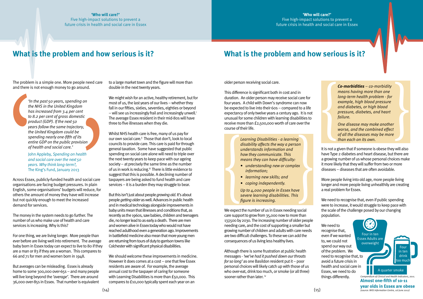Five high-impact solutions to prevent a future crisis in health and social care in Essex

The problem is a simple one. More people need care and there is not enough money to go around.

Across Essex, publicly-funded health and social care organisations are facing budget pressures. In plain English, some organisations' budgets will reduce, for others the amount of money they have will increase but not quickly enough to meet the increased demand for services.

The money in the system needs to go further. The number of us who make use of health and care services is increasing. Why is this?

Whilst NHS health care is free, many of us pay for our own social care.<sup>ii</sup> Those that don't, look to local councils to provide care. This care is paid for through general taxation. Some have suggested that public spending on social care alone will need to triple over the next twenty years to keep pace with our ageing society – at precisely the same time as the number of us in work is reducing.<sup>iii</sup> There is little evidence to suggest that this is possible. A declining number of taxpayers are being asked to fund health and care services – it is a burden they may struggle to bear. Sextion of health and social care. This were the next thank that continue in the public provision of health and social care.<br>
Sexting on the public provision and social care.<br>
The King's Fund, January 2013<br>
and Society – a

For one thing, we are living longer. More people than ever before are living well into retirement. The average baby born in Essex today can expect to live to 80 if they are a man or 83 if they are a woman. This compares to 66 and 71 for men and women born in 1948.

But averages can be misleading. Essex is already home to some 300,000 over-65s – and many people will live long beyond the *'average'*. There are around 36,000 over-85s in Essex. That number is equivalent

to a large market town and the figure will more than double in the next twenty years.

We might wish for an active, healthy retirement, but for most of us, the last years of our lives – whether they fall in our fifties, sixties, seventies, eighties or beyond – will see us increasingly frail and increasingly unwell.<sup>i</sup> The average Essex resident in their mid-80s will have three to five illnesses when they die.

> Although there is some frustration at public health messages - *'we've had it pushed down our throats for so long'* as one Basildon resident put it – poor personal choices will likely catch up with those of us who over-eat, drink too much, or smoke (or all three) sooner rather than later. iv

But this isn't just about people *growing old.* It's about people *getting older* as well. Advances in public health and in medical technology alongside improvements in baby units mean that illnesses and conditions that, as recently as the 1960s, saw babies, children and teenagers die, no longer lead to as early a death. There are men and women alive in Essex today who would not have reached adulthood even a generation ago. Improvements in battlefield medicine also mean that more young men are returning from tours of duty to garrison towns like Colchester with significant physical disabilities.

We should welcome these improvements in medicine. However it does comes at a cost – one that few Essex residents are aware of. For example, the average annual cost to the taxpayer of caring for someone with Learning Disabilities is more than £50,000. This compares to £10,000 typically spent each year on an

**Co-morbidities** – co-morbidity<br>means having more than one<br>long-term health problem - for<br>example, high blood pressure<br>and diabetes, or high blood<br>pressure, diabetes, and heart<br>failure.<br>One disease may make another<br>worse, *means having more than one long-term health problem - for example, high blood pressure and diabetes, or high blood pressure, diabetes, and heart failure.* 

older person receiving social care.

This difference is significant both in cost and in duration. An older person may receive social care for four years. A child with Down's syndrome can now be expected to live into their 60s – compared to a life expectancy of only twelve years a century ago. It is not unusual for some children with learning disabilities to receive more than £2,500,000 worth of care over the course of their life.

We expect the number of us in Essex needing social care support to grow from 35,000 now to more than 137,500 by 2030. The increasing number of older people needing care, and the cost of supporting a smaller but growing number of children and adults with care needs are two difficult challenges. To these we can add the consequences of us living less healthy lives.

It is not a given that if someone is obese they will also have Type 2 diabetes and heart disease, but there are a growing number of us whose personal choices make it more likely that they will suffer from two or more diseases – diseases that are often avoidable.

More people living into old age, more people living longer and more people living unhealthily are creating a real problem for Essex.

We need to recognise that, even if public spending were to increase, it would struggle to keep pace with the scale of the challenge posed by our changing population.

We need to recognise that, even if we wanted to, we could not spend our way out of the problem. We need to recognise that, to avoid a future crisis in health and social care in Essex, we need to do things differently.

## **What is the problem and how serious is it? What is the problem and how serious is it?**

*'In the past 50 years, spending on the NHS in the United Kingdom has increased from 3.4 per cent to 8.2 per cent of gross domestic product (GDP). If the next 50 years follow the same trajectory, the United Kingdom could be spending nearly one-fifth of its entire GDP on the public provision of health and social care.'*

John Appleby*, Spending on health and social care over the next 50 years. Why think long-term?,* 

*disability affects the way a person understands information and how they communicate. This means they can have difficulty:* 

- *• understanding new or complex information;*
- *• learning new skills; and*
- *• coping independently.*

*Up to 4,000 people in Essex have severe learning disabilities. This figure is increasing.*

*One disease may make another worse, and the combined effect of all the diseases may be more than each on its own.*

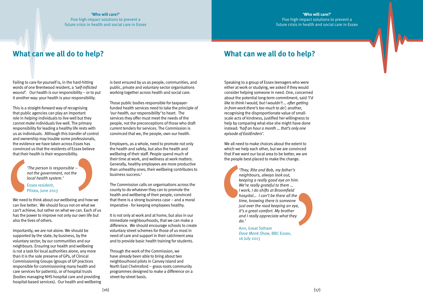### Failing to care for yourself is, in the hard-hitting words of one Brentwood resident, a *'self-inflicted wound'*. Our health is our responsibility – or to put it another way: your health is your responsibility.

This is a straight-forward way of recognising that public agencies can play an important role in *helping* individuals to live well but they cannot *make* individuals live well. The primary responsibility for leading a healthy life rests with us as individuals. Although this transfer of control and ownership may trouble some professionals, the evidence we have taken across Essex has convinced us that the residents of Essex believe that their health is their responsibility.

We need to think about our wellbeing and how we can live better. We should focus not on what we can't achieve, but rather on what we can. Each of us has the power to improve not only our own life but also the lives of others.

Employers, as a whole, need to promote not only the health and safety, but also the health and wellbeing of their staff. People spend much of their time at work, and wellness at work matters. Generally, healthy employees are more productive than unhealthy ones; their wellbeing contributes to business success.<sup>v</sup>

Importantly, we are not alone. We should be supported by the state, by business, by the voluntary sector, by our communities and our neighbours. Ensuring our health and wellbeing is not a task for local authorities alone, any more than it is the sole preserve of GPs, of Clinical Commissioning Groups (groups of GP practices responsible for commissioning many health and care services for patients), or of hospital trusts (bodies managing NHS hospital care and providing hospital-based services). Our health and wellbeing

is best ensured by us as people, communities, and public, private and voluntary sector organisations working together across health and social care.

Those public bodies responsible for taxpayerfunded health services need to take the principle of *'our health, our responsibility'* to heart. The services they offer must meet the needs of the people, not the preconceptions of those who draft current tenders for services. The Commission is convinced that we, the people, own our health.

The Commission calls on organisations across the county to do whatever they can to promote the health and wellbeing of their people, convinced that there is a strong business case – and a moral imperative - for keeping employees healthy.

It is not only at work and at home, but also in our immediate neighbourhoods, that we can make a difference. We should encourage schools to create voluntary street schemes for those of us most in need of care and support in their catchment area and to provide basic health training for students.

Through the work of the Commission, we have already been able to bring about two neighbourhood pilots in Canvey Island and North East Chelmsford – grass-roots community programmes designed to make a difference on a street-by-street basis.

#### **'Who will care?'**

Five high-impact solutions to prevent a future crisis in health and social care in Essex

## **What can we all do to help? What can we all do to help?**

Speaking to a group of Essex teenagers who were either at work or studying, we asked if they would consider helping someone in need. One, concerned about the potential long-term commitment, said *'I'd like to think I would, but I wouldn't … after getting in from work there's too much to do';* another, recognising the disproportionate value of smallscale acts of kindness, justified her willingness to help by comparing what else she might have done instead: *'half an hour a month … that's only one episode of EastEnders'.*

We all need to make choices about the extent to which we help each other, but we are convinced that if we want our local area to be better, we are the people best-placed to make the change.

*'The person is responsible – not the government, not the local health system.'*

#### Essex resident, Pitsea, June 2013

*'They, Rita and Bob, my father's neighbours, always look out, keeping a really good eye on him. We're really grateful to them … I work, I do shifts at Broomfield hospital… I can't be there all the time, knowing there is someone just over the road keeping an eye, it's a great comfort. My brother and I really appreciate what they do.'* 

Ann, Great Totham *Dave Monk Show,* BBC Essex, 16 July 2013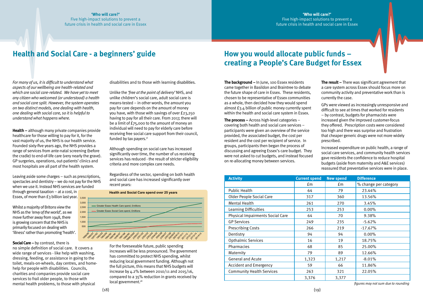*For many of us, it is difficult to understand what aspects of our wellbeing are health-related and which are social care-related. We have yet to meet any citizen who welcomed (or understood) a health and social care split. However, the system operates on two distinct models, one dealing with health, one dealing with social care, so it is helpful to understand what happens where.* 

through general taxation – at a cost, in Essex, of more than £3 billion last year. 3,500

**Health –** although many private companies provide healthcare for those willing to pay for it, for the vast majority of us, the NHS is our health service. Founded sixty-five years ago, the NHS provides a range of services from ante-natal screening (before the cradle) to end-of-life care (very nearly the grave). GP surgeries, operations, out-patients' clinics and most hospitals are all part of the health system.

Unlike the *'free at the point of delivery'* NHS, and unlike children's social care, adult social care is means-tested – in other words, the amount you pay for care depends on the amount of money you have, with those with savings of over £23,250 having to pay for all their care. From 2017, there will be a limit of £75,000 to the amount of money an individual will need to pay for elderly care before receiving free social care support from their council, funded by tax payers. $vi$ 

Leaving aside some charges – such as prescriptions, spectacles and dentistry – we do not pay for the NHS when we use it. Instead NHS services are funded

Whilst a majority of Britons view the NHS as the *'envy of the world',* as we move further away from 1948, there is growing concern that the NHS is primarily focused on dealing with 'illness' rather than promoting 'health'.

**Social Care – by contrast, there is** 

no simple definition of social care. It covers a wide range of services - like help with washing, dressing, feeding, or assistance in going to the toilet, meals-on-wheels, day centres, and homehelp for people with disabilities. Councils, charities and companies provide social care services to frail older people, to those with mental health problems, to those with physical

disabilities and to those with learning disabilities.

Although spending on social care has increased significantly over time, the number of us receiving services has reduced - the result of stricter eligibility criteria and more complex care needs.

Regardless of the sector, spending on both health and social care has increased significantly over recent years:

For the foreseeable future, public spending increases will be less pronounced. The government has committed to protect NHS spending, whilst reducing local government funding. Although not the full picture, this means that NHS budgets will increase by 4.2% between 2010/11 and 2015/16, compared to a 35% reduction in grants received by local<government.vii>

## Health and Social Care - a beginners' guide **How you would allocate public funds** -

## **'Who will care?'**

Five high-impact solutions to prevent a future crisis in health and social care in Essex

# **creating a People's Care Budget for Essex**

**The background –** In June, 100 Essex residents came together in Basildon and Braintree to debate the future shape of care in Essex. These residents, chosen to be representative of Essex communities as a whole, then decided how they would spend almost £3.4 billion of public money currently spent within the health and social care system in Essex.

**The process –** Across high-level categories – covering both health and social care services – participants were given an overview of the service provided, the associated budget, the cost per resident and the cost per recipient of service. In groups, participants then began the process of discussing and agreeing Essex's care budget. They were not asked to cut budgets, and instead focused on re-allocating money between services.

**The result –** There was significant agreement that a care system across Essex should focus more on community activity and preventative work than is currently the case.

GPs were viewed as increasingly unresponsive and difficult to see at times that worked for residents – by contrast, budgets for pharmacists were increased given the improved customer-focus they offered. Prescription costs were considered too high and there was surprise and frustration that cheaper generic drugs were not more widely prescribed.

Increased expenditure on public health, a range of social care services, and community health services gave residents the confidence to reduce hospital budgets (aside from maternity and A&E services) reassured that preventative services were in place.



| <b>Activity</b>                         | <b>Current spend</b> | <b>New spend</b> | <b>Difference</b>     |
|-----------------------------------------|----------------------|------------------|-----------------------|
|                                         | £m                   | $\mathsf{fm}$    | % change per category |
| <b>Public Health</b>                    | 64                   | 79               | 23.44%                |
| <b>Older People Social Care</b>         | 317                  | 360              | 13.56%                |
| <b>Mental Health</b>                    | 261                  | 270              | 3.45%                 |
| Learning Difficulties                   | 253                  | 253              | 0.00%                 |
| <b>Physical Impairments Social Care</b> | 64                   | 70               | 9.38%                 |
| <b>GP Services</b>                      | 249                  | 235              | $-5.62%$              |
| <b>Prescribing Costs</b>                | 266                  | 219              | $-17.67%$             |
| Dentistry                               | 94                   | 94               | 0.00%                 |
| <b>Opthalmic Services</b>               | 16                   | 19               | 18.75%                |
| Pharmacies                              | 68                   | 85               | 25.00%                |
| Maternity                               | 79                   | 89               | 12.66%                |
| <b>General and Acute</b>                | 1,323                | 1,217            | $-8.01%$              |
| <b>Accident and Emergency</b>           | 59                   | 66               | 11.86%                |
| <b>Community Health Services</b>        | 263                  | 321              | 22.05%                |
|                                         | 3,376                | 3,377            |                       |

*figures may not sum due to rounding*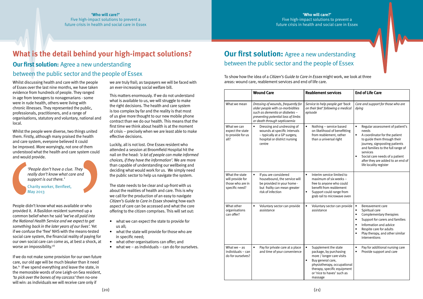Whilst discussing health and care with the people of Essex over the last nine months, we have taken evidence from hundreds of people. They ranged in age from teenagers to nonagenarians - some were in rude health, others were living with chronic illnesses. They represented the public, professionals, practitioners, and a range of organisations, statutory and voluntary, national and local.

People didn't know what was available or who provided it. A Basildon resident summed up a common belief when he said *'we've all paid into the National Health Service and we expect to get something back in the later years of our lives'.* Yet if we confuse the 'free' NHS with the means-tested social care system, the financial reality of paying for our own social care can come as, at best a shock, at worse an impossibility.<sup>viii</sup>

Whilst the people were diverse, two things united them. Firstly, although many praised the health and care system, everyone believed it could be improved. More worryingly, not one of them understood what the health and care system could and would provide.

If we do not make some provision for our own future care, our old age will be much bleaker than it need be.<sup>ix</sup> If we spend everything and leave the state, in the memorable words of one Leigh-on-Sea resident, *'to pick over the bones of my carcass'* then no-one will win: as individuals we will receive care only if

- what we can expect the state to provide for us all;
- what the state will provide for those who are in specific need;
- what other organisations can offer; and
- what we  $-$  as individuals  $-$  can do for ourselves.

we are truly frail; as taxpayers we will be faced with an ever-increasing social welfare bill.

# **Our first solution:** Agree a new understanding between the public sector and the people of Essex

This matters enormously. If we do not understand what is available to us, we will struggle to make the right decisions. The health and care system is too complex by far and the reality is that most of us give more thought to our new mobile phone contract than we do our health. This means that the first time we think about health is at the moment of crisis – precisely when we are least able to make effective decisions.

Luckily, all is not lost. One Essex resident who attended a session at Broomfield Hospital hit the nail on the head: *'a lot of people can make informed choices, if they have the information'.* We are more than capable of understanding our wellbeing and deciding what would work for us. We simply need the public sector to help us navigate the system.

The state needs to be clear and up-front with us about the realities of health and care. This is why we call for the production of an easy to navigate *Citizen's Guide to Care in Essex* showing how each aspect of care can be accessed and what the core offering to the citizen comprises. This will set out:

## **What is the detail behind your high-impact solutions? Our first solution:** Agree a new understanding

## between the public sector and the people of Essex

*'People don't have a clue. They really don't know what care and support is out there.'*

#### Charity worker, Benfleet, May 2013

|                                                                          | <b>Wound Care</b>                                                                                                                                                              | <b>Reablement services</b>                                                                                                                                                                                           | <b>End of Life Care</b>                                                                                                                                                                                                                                                                                               |
|--------------------------------------------------------------------------|--------------------------------------------------------------------------------------------------------------------------------------------------------------------------------|----------------------------------------------------------------------------------------------------------------------------------------------------------------------------------------------------------------------|-----------------------------------------------------------------------------------------------------------------------------------------------------------------------------------------------------------------------------------------------------------------------------------------------------------------------|
| What we mean                                                             | Dressing of wounds, frequently for<br>older people with co-morbidities<br>such as dementia or diabetes -<br>preventing potential loss of limbs<br>or death through septicaemia | Service to help people get 'back<br>on their feet' following a medical<br>episode                                                                                                                                    | Care and support for those who are<br>dying                                                                                                                                                                                                                                                                           |
| What we can<br>expect the state<br>to provide for us<br>all?             | $\bullet$<br>Dressing and undressing of<br>wounds at specific intervals<br>- typically at a GP surgery,<br>hospital or district nursing<br>centre                              | $\bullet$<br>Nothing - service based<br>on likelihood of benefitting<br>from reablement, rather<br>than a universal right                                                                                            | $\bullet$<br>Regular assessment of patient's<br>needs<br>A coordinator for the patient<br>$\bullet$<br>to guide them through their<br>journey, signposting patients<br>and families to the full range of<br>services<br>Social care needs of a patient<br>after they are added to an end of<br>life locality register |
| What the state<br>will provide for<br>those who are in<br>specific need? | $\bullet$<br>If you are considered<br>housebound, the service will<br>be provided in your home -<br>but frailty can mean greater<br>risk of infection                          | Interim service limited to<br>$\bullet$<br>maximum of six weeks -<br>free to anyone who could<br>benefit from reablement<br>Support could range from<br>$\bullet$<br>grab rail to microwave oven                     |                                                                                                                                                                                                                                                                                                                       |
| What other<br>organisations<br>can offer?                                | $\bullet$<br>Voluntary sector can provide<br>assistance                                                                                                                        | $\bullet$<br>Voluntary sector can provide<br>assistance                                                                                                                                                              | $\bullet$<br>Bereavement care<br>Spiritual care<br>$\bullet$<br>Complementary therapies<br>$\bullet$<br>Support for carers and families<br>$\bullet$<br>Information and advice<br>$\bullet$<br>Respite care for adults<br>$\bullet$<br>Play therapy, and other similar<br>interventions                               |
| What $we - as$<br>individuals - can<br>do for ourselves?                 | Pay for private care at a place<br>and time of your convenience                                                                                                                | Supplement the state<br>package, by purchasing<br>more / longer care visits<br>$\bullet$<br>Buy general care,<br>physiotherapy, occupational<br>therapy, specific equipment<br>or 'nice to haves' such as<br>massage | Pay for additional nursing care<br>Provide support and care<br>$\bullet$                                                                                                                                                                                                                                              |

To show how the idea of a *Citizen's Guide to Care in Essex* might work, we look at three areas: wound care, reablement services and end of life care.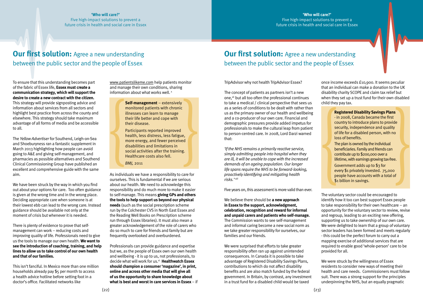To ensure that this understanding becomes part of the fabric of Essex life, **Essex must create a communication strategy, which will support the desire to create a new contract with the citizen.** This strategy will provide signposting advice and information about services from all sectors and highlight best practice from across the county and elsewhere. This strategy should take maximum advantage of all forms of media and be accessible to all.

The *Yellow Advertiser* for Southend, Leigh-on-Sea and Shoeburyness ran a fantastic supplement in March 2013 highlighting how people can avoid going to A&E and giving self-management, and pharmacies as possible alternatives and Southend Clinical Commissioning Group have published an excellent and comprehensive guide with the same aim.

We have been struck by the way in which you find out about your options for care. Too often guidance is given at the wrong time and in the wrong place. Deciding appropriate care when someone is at their lowest ebb can lead to the wrong care. Instead guidance should be available not only at the moment of crisis but whenever it is needed.

There is plenty of evidence to prove that selfmanagement can work – reducing costs and improving quality of life. Professionals need to give us the tools to manage our own health. **We want to see the introduction of coaching, training, and help lines to allow us to take control of our own health and that of our families.** 

This isn't fanciful. In Mexico more than one million households already pay \$5 per month to access a health advice hotline before setting foot in a doctor's office. Facilitated networks like

# **Our first solution:** Agree a new understanding between the public sector and the people of Essex

## **Our first solution:** Agree a new understanding between the public sector and the people of Essex

<www.patientslikeme.com>help patients monitor and manage their own conditions, sharing information about what works well. x

> *'If the NHS remains a primarily reactive service, simply admitting people into hospital when they are ill, it will be unable to cope with the increased demands of an ageing population. Our longer life spans require the NHS to be forward-looking, proactively identifying and mitigating health risks.' xiii* **Examples the set and the problem of the problem of the disability Savings Plans**<br>
> their disease.<br>
> their disability Savings Plans<br>
> the between and a co-produce of our own care Financial and the component<br>
> metall, less dist

As individuals we have a responsibility to care for ourselves. This is fundamental if we are serious about our health. We need to acknowledge this responsibility and do much more to make it easier to self-manage. This means **giving GPs and others the tools to help support us beyond our physical needs** (such as the social prescription scheme run by the Colchester CVS in North East Essex and the Reading Well Books on Prescription scheme run through Essex libraries). It must also mean a greater acknowledgement of the role of carers who do so much to care for friends and family but are frequently overlooked and overburdened.

Professionals can provide guidance and expertise but we, as the people of Essex own our own health and wellbeing - it is up to us, not professionals, to decide what will work for us.<sup>xi</sup> Healthwatch Essex **should champion a consumer 'magazine', in print, online and across other media that will give all of us the opportunity to share knowledge about what is best and worst in care services in Essex** – if

**Self-management** – extensively<br>monitored patients with chronic<br>illnesses can learn to manage<br>their life better and cope with<br>their disease.<br>Participants reported improved<br>health, less distress, less fatigue,<br>more energy, Participants reported improved health, less distress, less fatigue, more energy, and fewer perceived disabilities and limitations in social activities after the training. Healthcare costs also fell.

TripAdvisor why not health TripAdvisor Essex?

The concept of patients as partners isn't a new one,<sup>xii</sup> but all too often the professional continues to take a medical / clinical perspective that sees us as a series of conditions to be dealt with rather than us as the primary owner of our health and wellbeing and a co-producer of our own care. Financial and demographic pressures provide added impetus for professionals to make the cultural leap from patient to person-centred care. In 2008, Lord Darzi warned that:

Five years on, this assessment is more valid than ever.

We believe there should be **a new approach in Essex to the support, acknowledgment, celebration, recognition and reward for informal and unpaid carers and patients who self-manage.**  The Commission wants to see self-management and informal caring become a new social norm as we take greater responsibility for ourselves, our families and our friends.

We were surprised that efforts to take greater responsibility often ran up against unintended consequences. In Canada it is possible to take advantage of Registered Disability Savings Plans, contributions to which do not affect disability benefits and are also match funded by the federal government. In Britain, by contrast, any investment in a trust fund for a disabled child would be taxed

once income exceeds £10,900. It seems peculiar that an individual can make a donation to the UK disability charity SCOPE and claim tax relief but when they set up a trust fund for their own disabled child they pay tax.

The voluntary sector could be encouraged to identify how it too can best support Essex people to take responsibility for their own healthcare – an opportunity for the voluntary sector to review, revise and regroup, leading to an exciting new offering, supporting us to take ownership of our own care. We were delighted to learn that a group of voluntary sector leaders has been formed and meets regularly - this could be the perfect forum to carry out a mapping exercise of additional services that are required to enable good 'whole-person' care to be provided for all.

We were struck by the willingness of Essex residents to consider new ways of meeting their health and care needs. Commissioners must follow suit. There was a strong support for the principles underpinning the NHS, but an equally pragmatic

monitored patients with chronic illnesses can learn to manage their life better and cope with their disease.

- in 2008, Canada became the first country to introduce plans to provide security, independence and quality of life for a disabled person, with no loss of benefits.

The plan is owned by the individual beneficiaries. Family and friends can contribute up to \$200,000 over a lifetime, with earnings growing tax-free. Government adds up to \$3 for

every \$1 privately invested. 75,000 people have accounts with a total of \$1 billion in savings.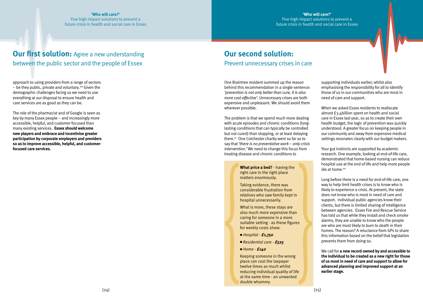approach to using providers from a range of sectors  $-$  be they public, private and voluntary.  $x^i$  Given the demographic challenges facing us we need to use everything at our disposal to ensure health and care services are as good as they can be.

The role of the pharmacist and of Google is seen as key by many Essex people – and increasingly more accessible, helpful, and customer focused than many existing services. **Essex should welcome new players and embrace and incentivise greater participation by corporate employers and providers so as to improve accessible, helpful, and customerfocused care services.** 

## **Our first solution:** Agree a new understanding between the public sector and the people of Essex

## **Our second solution:**  Prevent unnecessary crises in care

Your gut instincts are supported by academic research. One example, looking at end-of-life care, demonstrated that home-based nursing can reduce hospital use at the end of life and help more people die at home.<sup>xvi</sup>

One Braintree resident summed up the reason behind this recommendation in a single sentence: *'prevention is not only better than cure, it is also more cost-effective'*. Unnecessary crises are both expensive and unpleasant. We should avoid them wherever possible.

The problem is that we spend much more dealing with acute episodes and chronic conditions (longlasting conditions that can typically be controlled but not cured) than stopping, or at least delaying them. $x^2$  One Colchester charity went so far as to say that *'there is no preventative work – only crisis intervention.'* We need to change this focus from treating disease and chronic conditions to

supporting individuals earlier, whilst also emphasising the responsibility for all to identify those of us in our communities who are most in need of care and support.

Keeping someone in the wrong place can cost the taxpayer twelve times as much whilst reducing individual quality of life at the same time - an unwanted caming for someone in a more<br>suitable setting - as these figures<br>for weekly costs show:<br><br> $\bullet$  *Hospital* - **£1,750**<br> $\bullet$  *Residential care* - **£525**<br> $\bullet$  *Home* - **£140**<br>Keeping someone in the wrong<br>place can cost the taxp When we asked Essex residents to reallocate almost £3.4billion spent on health and social care in Essex last year, so as to create their own health budget, the logic of prevention was quickly understood. A greater focus on keeping people in our community and away from expensive medical settings resonates clearly with our budget makers.

Long before there is a need for end-of-life care, one way to help limit health crises is to know who is likely to experience a crisis. At present, the state does not know who is most in need of care and support. Individual public agencies know their clients, but there is limited sharing of intelligence between agencies. Essex Fire and Rescue Service has told us that while they install and check smoke alarms, they are unable to know who the people are who are most likely to burn to death in their homes. The reason? A reluctance from GPs to share this information based on the belief that legislation prevents them from doing so.

We call for **a new record owned by and accessible to the individual to be created as a new right for those of us most in need of care and support to allow for advanced planning and improved support at an earlier stage.**

**What price a bed?** - having the right care in the right place matters enormously.

Taking evidence, there was considerable frustration from relatives who saw family kept in hospital unnecessarily.

What is more, these stays are also much more expensive than caring for someone in a more suitable setting - as these figures for weekly costs show:

- <sup>l</sup> *Hospital £1,750*
- <sup>l</sup>*Residential care £525*
- <sup>l</sup>*Home £140*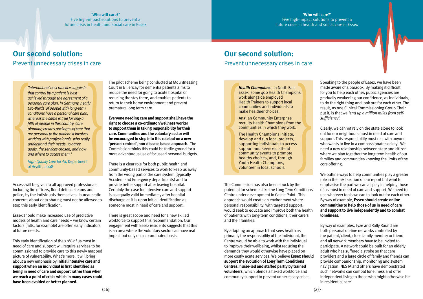# **Our second solution:**

## Prevent unnecessary crises in care

## **Our second solution:**

## Prevent unnecessary crises in care

Access will be given to all approved professionals including fire officers, flood defence teams and police, by the individuals themselves - bureaucratic concerns about data sharing must not be allowed to stop this early identification.

Essex should make increased use of predictive models of health and care needs – we know certain factors (falls, for example) are often early indicators of future needs.

**Everyone needing care and support shall have the right to choose a co-ordinator/wellness worker to support them in taking responsibility for their care. Communities and the voluntary sector will be encouraged to step into this role but on a new 'person-centred', non-disease based approach.** The Commission thinks this could be fertile ground for a more adventurous use of focussed personal budgets. Conditions have a personal care plan,<br>
Fifth of people in this country, Care<br>
fifth of people in this country, Care<br>
fifth Champions<br>
fifth Champions in the strength of the patient. It involves<br>
working with professionals

This early identification of the 20% of us most in need of care and support will require services to be commissioned to provide care to this newly mapped picture of vulnerability. What's more, it will bring about a new emphasis by **initial intensive care and support when an individual is first identified as being in need of care and support rather than when we reach a point of crisis which in many cases could have been avoided or better planned.**

The pilot scheme being conducted at Mountnessing Court in Billericay for dementia patients aims to reduce the need for going to acute hospital or reducing the stay there, and enables patients to return to their home environment and prevent premature long term care.

There is a clear role for both public health and community-based services to work to keep us away from the wrong part of the care system (typically Accident and Emergency departments) and to provide better support after leaving hospital. Certainly the case for intensive care and support is as equally valid immediately after hospital discharge as it is upon initial identification as someone most in need of care and support.

There is great scope and need for a new skilled workforce to support this recommendation. Our engagement with Essex residents suggests that this is an area where the voluntary sector can have real impact but only on a co-ordinated basis.

The Commission has also been struck by the potential for schemes like the Long Term Conditions Centre under development in Castle Point. This approach would create an environment where personal responsibility, with targeted support, would seek to educate and improve both the health of patients with long-term conditions, their carers and their families.

**Health Champions •** in North East<br>Essex, some 400 Health Champions<br>work alongside employed<br>Health Trainers to support local<br>communities and individuals to<br>make healthier choices.<br>Anglian Community Enterprise<br>recruits He The Health Champions initiate, develop and run local projects, supporting individuals to access support and services, attend community events to promote healthy choices, and, through

By adopting an approach that sees health as primarily the responsibility of the individual, the Centre would be able to work with the individual to improve their wellbeing, whilst reducing the demands they would otherwise have placed on more costly acute services. We believe **Essex should support the evolution of Long Term Conditions Centres, nurse-led and staffed partly by trained volunteers**, which blends a flexed workforce and community support to prevent unnecessary crises.

Speaking to the people of Essex, we have been made aware of a paradox. By making it difficult for you to help each other, public agencies are gradually weakening our confidence, as individuals, to do the right thing and look out for each other. The result, as one Clinical Commissioning Group Chair put it, is that we *'end up a million miles from selfsufficiency'.* 

Clearly, we cannot rely on the state alone to look out for our neighbours most in need of care and support. This responsibility must rest with anyone who wants to live in a compassionate society. We need a new relationship between state and citizen where we plan together the long-term health of our families and communities knowing the limits of the core offering.

We outline ways to help communities play a greater role in the next section of our report but want to emphasise the part we can all play in helping those of us most in need of care and support. We need to use whatever tools we can to look out for each other. By way of example, **Essex should create online communities to help those of us in need of care and support to live independently and to combat loneliness.** 

By way of examples, Tyze and Rally Round are both personal on-line networks controlled by the patient/client, close family member or friend and all network members have to be invited to participate. A network could be built for an elderly adult who has suffered a stroke so that care providers and a large circle of family and friends can provide companionship, monitoring and system navigation. NESTA and others have demonstrated such networks can combat loneliness and offer independent living to those who might otherwise be in residential care.

Essex, some 400 Health Champions work alongside employed Health Trainers to support local communities and individuals to make healthier choices.

Anglian Community Enterprise recruits Health Champions from the communities in which they work.

*'International best practice suggests that control by a patient is best achieved through the agreement of a personal care plan. In Germany, nearly two-thirds of people with long-term conditions have a personal care plan, whereas the same is true for only a fifth of people in this country. Care planning creates packages of care that are personal to the patient. It involves working with professionals who really understand their needs, to agree goals, the services chosen, and how and where to access them.'*

*High Quality Care for All,* Department of Health, 2008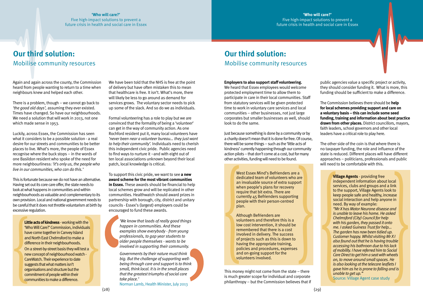## **Our third solution:**  Mobilise community resources

## **Our third solution:**  Mobilise community resources

Again and again across the county, the Commission heard from people wanting to return to a time when neighbours knew and helped each other.

There is a problem, though – we cannot go back to *'the good old days',* assuming they ever existed. Times have changed. So have our neighbourhoods. We need a solution that will work in 2013, not one which made sense in 1953.

Luckily, across Essex, the Commission has seen what it considers to be a possible solution - a real desire for our streets and communities to be better places to live. What's more, the people of Essex recognise where the buck stops – in the words of one Basildon resident who spoke of the need for more neighbourliness: *'it's only us, the people who live in our communities, who can do this.'*

This is fortunate because we do not have an alternative. Having set out its core care offer, the state needs to look at what happens in communities and within neighbourhoods as valuable and complementary to its own provision. Local and national government needs to be careful that it does not throttle voluntarism at birth by excessive regulation.

We have been told that the NHS is free at the point of delivery but have often mistaken this to mean that healthcare is free. It isn't. What's more, there will likely be less to go around as demand for services grows. The voluntary sector needs to pick up some of the slack. And so do we as individuals.

Formal volunteering has a role to play but we are convinced that the formality of being a 'volunteer' can get in the way of community action. As one Rochford resident put it, many local volunteers have *'never been near a volunteer bureau… they just want to help their community'.* Individuals need to cherish this independent civic pride. Public agencies need to find ways to nurture it –and with eight out of ten local associations unknown beyond their local patch, local knowledge is critical.

**Little acts of kindness** - working with the<br>
"Who Will Care?" Commission, individuals<br>
have come together in Canvey Island<br>
and North East Chelmsford to make a<br>
difference in their neighbourhoods.<br>
On a street-by-street b 'Who Will Care?' Commission, individuals have come together in Canvey Island and North East Chelmsford to make a difference in their neighbourhoods. On a street-by-street basis they will test a new concept of neighbourhood watch - CareWatch. Their experience to date suggests that what matters isn't organisations and structure but the commitment of people within their communities to make a difference.

To support this civic pride, we want to see **a new award scheme for the most vibrant communities in Essex.** These awards should be financial to help local schemes grow and will be replicated in other communities. Healthwatch should award prizes in partnership with borough, city, district and unitary councils - Essex's (largest) employers could be encouraged to fund these awards.

#### **Employers to also support staff volunteering.**

We heard that Essex employees would welcome protected employment time to allow them to participate in care in their local communities. Staff from statutory services will be given protected time to work in voluntary care services and local communities – other businesses, not just large corporates but smaller businesses as well, should look to do the same.

West Essex Mind's Befrienders are a<br>dedicated team of volunteers who are<br>an invaluable source of extra support<br>when people's plans for recovery<br>require that bit extra. There are<br>currently 45 Befrienders supporting<br>people w Although Befrienders are volunteers and therefore this is a low cost intervention, it should be remembered that there is a cost involved in delivery. The success of projects such as this is down to having the appropriate training, policies and procedures, expenses and on-going support for the

Just because something is done by a community or by a charity doesn't mean that it is done for free. Of course, there will be some things – such as the 'little acts of kindness' currently happening through our community action pilots – that don't come at a cost, but for many other activities, funding will need to be found.

> dedicated team of volunteers who are<br>
> when upsaple's plans for ecovery<br>
> when people's plans for recovery<br>
> when people's plans for recovery<br>
> the superport will see the support will see Agents a link<br>
> require that bit extra. independent information about local services, clubs and groups and a link to the support, Village Agents look to keep people safe and healthy, increase social interaction and help anyone in need. By way of example: *"Mr X has Motor Neurone disease and is unable to leave his home. He asked Chelmsford (City) Council for help with his garden, they passed it onto me. I asked Guiness Trust for help... The garden has now been tidied up. Customer happy. Whilst visiting Mr X I also found out that he is having trouble accessing his bathroon due to his lack of mobility. I have referred him to Social Care Direct to get him a seat with wheels on, to move around small spaces. He is also looking at the telecare leaflets I gave him as he is prone to falling and is unable to get up."*

This money might not come from the state – there is much greater scope for individual and corporate philanthropy – but the Commission believes that if public agencies value a specific project or activity, they should consider funding it. What is more, this funding should be sufficient to make a difference.

The Commission believes there should be **help for local schemes providing support and care on a voluntary basis – this can include some seed funding, training and information about best practice drawn from other places.** District councillors, mayors, faith leaders, school governors and other local leaders have a critical role to play here.

The other side of the coin is that where there is no taxpayer funding, the role and influence of the state is reduced. Different places will have different approaches – politicians, professionals and public will need to be comfortable with this.

*'We know that loads of really good things happen in communities. And these examples show everybody - from young professionals, to gap year students to older people themselves - wants to be involved in supporting their community.*

*Governments by their nature must think big. But the challenge of supporting wellbeing through care and support is to think small, think local. It is in the small places that the greatest triumphs of social care take place.'* Norman Lamb, Health Minister, July 2013

dedicated team of volunteers who are an invaluable source of extra support when people's plans for recovery require that bit extra. There are currently 45 Befrienders supporting people with their person-centred plan.

Source: Village Agent case study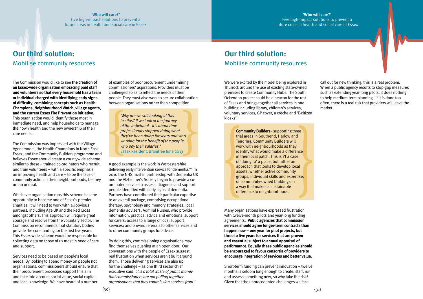**'Who will care?'** Five high-impact solutions to prevent a

#### Five high-impact solutions to prevent a future crisis in health and social care in Essex

The Commission would like to see **the creation of an Essex-wide organisation embracing paid staff and volunteers so that every household has a team or individual charged with identifying early signs of difficulty, combining concepts such as Health Champions, Neighbourhood Watch, village agents, and the current Essex Fire Prevention initiative.**  This organisation would identify those most in immediate need, and help households to manage their own health and the new ownership of their care needs.

The Commission was impressed with the Village Agent model, the Health Champions in North East Essex, and the Community Builders programme and believes Essex should create a countywide scheme similar to these – trained co-ordinators who recruit and train volunteers – with a specific emphasis on improving health and care – to be the face of community action in their neighbourhoods, be they urban or rural.

Whichever organisation runs this scheme has the opportunity to become one of Essex's premier charities. It will need to work with all obvious partners, including Age UK and the Red Cross amongst others. This approach will require great courage and resolve from the voluntary sector. The Commission recommends that statutory bodies provide the core funding for the first five years. This Essex-wide scheme would be responsible for collecting data on those of us most in need of care and support.

Services need to be based on people's local needs. By looking to spend money on people not organisations, commissioners should ensure that their procurement processes support this aim and take into account social value, social capital and local knowledge. We have heard of a number

**Example 2018**<br>
Why are we still looking at this<br>
in silos? If we look at the journey<br>
of the individual - it's about time<br>
professionals stopped doing what<br>
they've been doing for years and start<br>
working for the benefit *in silos? If we look at the journey of the individual - it's about time professionals stopped doing what they've been doing for years and start working for the benefit of the people who pay their salaries.'* Essex Resident, Braintree June 2013

of examples of poor procurement undermining commissioners' aspirations. Providers must be challenged so as to reflect the needs of their people. They must also work to secure collaboration between organisations rather than competition.

A good example is the work in Worcestershire delivering early intervention service for dementia.<sup>xvii</sup> In 2010 the NHS Trust in partnership with Dementia UK and the Alzheimer's Society began to provide a coordinated service to assess, diagnose and support people identified with early signs of dementia. Partners have contributed their particular expertise to an overall package, comprising occupational therapy, psychology and memory strategies; local dementia advisers; Admiral Nurses, who provide information, practical advice and emotional support for carers; access to a range of local support services; and onward referrals to other services and to other community groups for advice.

**Community Builders** - supporting three<br>trial areas in Southend, Harlow and<br>Tendring, Community Builders will<br>work with neighbourhoods as they<br>identify what would make a difference<br>in their local patch. This isn't a case<br>o trial areas in Southend, Harlow and Tendring, Community Builders will work with neighbourhoods as they identify what would make a difference in their local patch. This isn't a case of 'doing to' a place, but rather an approach that looks to develop local assets, whether active community groups, individual skills and expertise, or community-owned buildings in a way that makes a sustainable difference to neighbourhoods.

By doing this, commissioning organisations may find themselves pushing at an open door. Our conversations with the people of Essex suggest real frustration when services aren't built around them. Those delivering services are also up for the challenge – as one third sector chief executive said: *'it is a total waste of public money that commissioners are not pulling together organisations that they commission services from.'* 

## **Our third solution:**  Mobilise community resources

We were excited by the model being explored in Thurrock around the use of existing state-owned premises to create Community Hubs. The South Ockendon project could be a beacon for the rest of Essex and brings together all services in one building including library, children's services, voluntary services, GP cover, a crèche and 'E-citizen kiosks'.

Many organisations have expressed frustration with twelve-month pilots and year-long funding agreements. **Public agencies that commission services should agree longer-term contracts than happen now – one year for pilot projects, but three to five years for services that are proven and essential subject to annual appraisal of performance. Equally these public agencies should be encouraged to favour consortia of providers to encourage integration of services and better value.**

Short-term funding can prevent innovation – twelve months is seldom long enough to create, staff, run and assess something new, so why take the risk? Given that the unprecedented challenges we face

call out for new thinking, this is a real problem. When a public agency resorts to stop-gap measures such as extending year-long pilots, it does nothing to help medium-term planning. If it is done too often, there is a real risk that providers will leave the market.

## **Our third solution:**  Mobilise community resources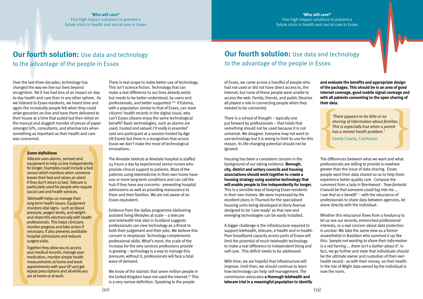## **Our fourth solution:** Use data and technology to the advantage of the people in Essex

## **Our fourth solution:** Use data and technology to the advantage of the people in Essex

Over the last three decades, technology has changed the way we live our lives beyond recognition. Yet it has had less of an impact on dayto-day health and care than in any other sphere. As we listened to Essex residents, we heard time and again the incredulity people felt when they could order groceries on-line and have them delivered to their house at a time that suited but then relied on the manual and sluggish transfer of pieces of paper amongst GPs, consultants, and pharmacists when something as important as their health and care was concerned.

There is real scope to make better use of technology. This isn't science fiction. Technology that can make a real difference to our lives already exists but needs to be better understood, by users and professionals, and better supported.<sup>xviii</sup> If Estonia, with a population similar to that of Essex, can store citizens' health records in the digital cloud, why can't Essex citizens enjoy the same technological benefit? Basic technologies, such as alarms are used, trusted and valued (*'it really is essential'*  said one participant at a session hosted by Age UK Essex) but there is a recognition that across Essex we don't make the most of technological innovations.

The Airedale telehub at Airedale hospital is staffed 24 hours a day by experienced senior nurses who provide clinical support to patients. Most of the patients using telemedicine in their own home have one or more long-term conditions and can call the hub if they have any concerns - preventing hospital admissions as well as providing reassurance to them and their families. We are not aware of an Essex equivalent.

Evidence from the dallas programme (delivering assisted living lifestyles at scale – a telecare and telehealth trial site) in Scotland suggests professionals can view technology as a threat to both their judgement and their jobs. We believe this concern is misplaced. Technology complements professional skills. What's more, the scale of the increase for the very services professions provide is growing – technology is a way to manage this pressure; without it, professionals will face a tidal wave of demand.

Whether this reluctance flows from a hesitancy to let us see our records, entrenched professional interests, or a real concern about data protection is unclear. We take the same view as a former anaesthetist in Basildon who summed it up like this: *'people not wanting to share their information is a red herring … there isn't a bother about it'*. In fact, we go further and state that individuals should be the ultimate owner and custodian of their own health record - as with their money, so their health. and share this electronically with health<br>
and elebelis that is and the Isle of Microscopials and the Islamical in the interaction<br>
and the Islamical in Scotland suggests<br>
monitor progressionals can view technology as a th

We know of the statistic that seven million people in the United Kingdom have not used the internet. xix This is a very narrow definition. Speaking to the people

of Essex, we came across a handful of people who had not used or did not have direct access to, the internet, but none of these people were unable to access the web. Family, friends, and public libraries all played a role in connecting people when they needed to be connected.

There is a school of thought – typically one put forward by professionals – that holds that something should not be used because it is not universal. We disagree. Everyone may not want to use technology but it is wrong to limit its use for this reason. Its life-changing potential should not be ignored.

mericant data.<br>
There appears to be little or no<br>
sharing of information about families.<br>
This is especially true when a parent<br>
has a mental health problem.<br>
Family Charity, Colchester *sharing of information about families. This is especially true when a parent has a mental health problem.'*

Housing has been a consistent concern in the background of our taking evidence. **Borough, city, district and unitary councils and housing associations should work together to create a housing strategy using assistive technology that will enable people to live independently for longer.**  This is a sensible way of keeping Essex residents in their own homes. We were impressed by the excellent plans in Thurrock for the specialised housing units being developed at Derry Avenue designed to be 'care-ready' so that new and emerging technologies can be easily installed.

A bigger challenge is the infrastructure required to support telehealth, telecare, e-health and m-health. Poor broadband capacity across parts of Essex will limit the potential of much telehealth technology to make a real difference to independent living and self-care. This deficit needs to be addressed.

With time, we are hopeful that infrastructure will improve. Until then, we should continue to learn how technology can help self-management. The commission advocates **a thorough telehealth and telecare trial in a meaningful population to identify**  **and evaluate the benefits and appropriate design of the packages. This should be in an area of good internet coverage, good mobile signal coverage and with all patients consenting to the open sharing of their data.**

The differences between what we want and what professionals are willing to provide is nowhere greater than the issue of data sharing. Essex people want their data shared so as to help them experience better quality care. Compare the comment from a lady in Brentwood - *'how fantastic it would be that someone could log into me … I see that as a benefit'* – with the reluctance of professionals to share data between agencies, let alone directly with the individual.

#### *Some definitions*

*Telecare* uses alarms, sensors and equipment to help us live independently for longer. Examples could include a bed sensor which monitors when someone leaves their bed and raises an alarm if they don't return to bed. Telecare is particularly used for people who require social care and health services.

*Telehealth* helps us manage their long-term health issues. Equipment monitors vital signs - such as blood pressure, oxygen levels, and weight and share this electronically with health professionals. This helps clinicians monitor progress and take action if necessary. It also prevents avoidable hospital admissions and reduces surgery visits.

Together they allow you to access your medical records, manage your medication, monitor simple health measurements at home and book appointments with your GP and get repeat prescriptions and all while you are at home or at work.

Family Charity, Colchester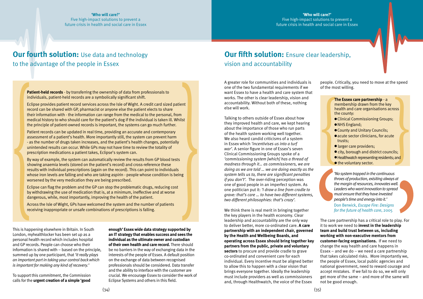## **Our fourth solution:** Use data and technology to the advantage of the people in Essex

## **Our fifth solution:** Ensure clear leadership, vision and accountability

This is happening elsewhere in Britain. In South London, myhealthlocker has been set up as a personal health record which includes hospital and GP records. People can choose who their information is shared with – based on the principle, summed up by one participant, that *'it really plays an important part in taking your control back which is important for making any kind of recovery.'*

To support this commitment, the Commission calls for the **urgent creation of a simple 'good** 

**enough' Essex wide data strategy supported by an IT strategy that enables success and sees the individual as the ultimate owner and custodian of their own health and care record.** There should be no barriers in the way of exchanging data in the interests of the people of Essex. A default position on the exchange of data between recognised professionals should be considered. Data transfer and the ability to interface with the customer are crucial. We encourage Essex to consider the work of Eclipse Systems and others in this field.

A greater role for communities and individuals is one of the two fundamental requirements if we want Essex to have a health and care system that works. The other is clear leadership, vision and accountability. Without both of these, nothing else will work.

Talking to others outside of Essex about how they improved health and care, we kept hearing about the importance of those who run parts of the health system working well together. We also heard candid criticisms of a system in Essex which *'incentivises us into a turf war'*. A senior figure in one of Essex's seven Clinical Commissioning Groups spoke of a *'commissioning system [which] has a thread of madness through it… as commissioners, we are doing as we are told … we are doing exactly as the system tells us to, there are significant penalties if you don't'.* The over-riding perception was one of good people in an imperfect system. As one politician put it: *'I draw a line from cradle to grave: that's care … to have two different systems, two different philosophies: that's crazy'.* 

**Patient-held records** - by transferring the ownership of data from profesionals to<br>individuals, patient-held records are a symbolically significant shift.<br>Eclipse provides patient record services across the Isle of Wight. Eclipse provides patient record services across the Isle of Wight. A credit card sized patient record can be shared with GP, pharmacist or anyone else the patient elects to share their information with - the information can range from the medical to the personal, from medical history to who should care for the patient's dog if the individual is taken ill. Whilst the principle of patient-owned records is important, the systems can go much further.

We think there is real merit in bringing together the key players in the health economy. Clear leadership and accountability are the only way to deliver better, more co-ordinated care. **A care partnership with an independent chair, governed by the Health and Wellbeing Boards, and operating across Essex should bring together key partners from the public, private and voluntary sectors** to procure and provide cradle to grave co-ordinated and convenient care for each individual. Every incentive must be aligned better to allow this to happen with a clear vision that brings everyone together. Ideally the leadership must include providers as well as commissioners and, through Healthwatch, the voice of the Essex

The Essex care partnership - a<br>
membership drawn from the key<br>
health and care organisations across<br>
the county:<br>
Clinical Commissioning Groups;<br>
NHS England;<br>
County and Unitary Councils;<br>
acute sector clinicians, for acu membership drawn from the key health and care organisations across the county:

- Clinical Commissioning Groups;
- NHS England;
- County and Unitary Councils:
- acute sector clinicians, for acute trusts;
- larger care providers;
- $\bullet$  city, borough and district councils;
- Healthwatch representing residents; and
- the voluntary sector.

people. Critically, you need to move at the speed of the most willing.

The care partnership has a critical role to play. For it to work we need to **invest in the leadership team and build trust between us, including working with non-executive mentors from customer-facing organisations.** If we need to change the way health and care happens in Essex – and we do – we need a care partnership that takes calculated risks. More importantly we, the people of Essex, local public agencies and national government, need to reward courage and accept mistakes. If we fail to do so, we will only get more of the same – and more of the same will not be good enough.

individuals, patient-held records are a symbolically significant shift.

Patient records can be updated in real time, providing an accurate and contemporary assessment of a patient's health. More importantly still, the system can prevent harm - as the number of drugs taken increases, and the patient's health changes, potentially unintended results can occur. While GPs may not have time to review the totality of prescription medications a patient takes, Eclipse's system can.

By way of example, the system can automatically review the results from GP blood tests showing anaemia levels (stored on the patient's record) and cross-reference these results with individual prescriptions (again on the record). This can point to individuals whose iron levels are falling and who are taking aspirin - people whose condition is being worsened by the very medication they are being prescribed.

Eclipse can flag the problem and the GP can stop the problematic drugs, reducing cost by withdrawing the use of medication that is, at a minimum, ineffective and at worse dangerous, while, most importantly, improving the health of the patient.

Across the Isle of Wight, GPs have welcomed the system and the number of patients receiving inappropriate or unsafe combinations of prescriptions is falling.

*'No system trapped in the continuous throes of production, exisiting always at the margin of resources, innovates well. Leaders who want innovation to spread must ensure that they have invested people's time and energy into it.'*

Don Berwick, *Escape Fire: Designs for the future of health care*, 2005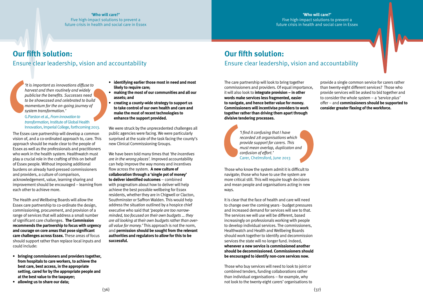The care partnership will look to bring together commissioners and providers. Of equal importance, it will also look to **integrate provision – in other words make services less fragmented, easier to navigate, and hence better value for money. Commissioners will incentivise providers to work together rather than driving them apart through divisive tendering processes.**

Those who know the system admit it is difficult to navigate; those who have to use the system are more critical still. This will require tough decisions and mean people and organisations acting in new ways.

It is clear that the face of health and care will need to change over the coming years - budget pressures and increased demand for services will see to that. The services we will use will be different, based increasingly on professionals working with people to develop individual services. The commissioners, Healthwatch and Health and Wellbeing Boards should work together to identify and decommission services the state will no longer fund. Indeed, **whenever a new service is commissioned another should be decommissioned. Commissioners should be encouraged to identify non-core services now.**

Those who buy services will need to look to joint or combined tenders, funding collaborations rather than individual organisations – for example, why not look to the twenty-eight carers' organisations to

provide a single common service for carers rather than twenty-eight different services? Those who provide services will be asked to bid together and to consider the whole system – a *'service-plus'*  offer – and **commissioners should be supported to consider greater flexing of the workforce.** 

The Essex care partnership will develop a common vision of, and a co-ordinated approach to, care. This approach should be made clear to the people of Essex as well as the professionals and practitioners who work in the health system. Healthwatch must play a crucial role in the crafting of this on behalf of Essex people. Without imposing additional burdens on already hard-pressed commissioners and providers, a culture of comparison, acknowledgement, value, learning sharing and improvement should be encouraged – learning from each other to achieve more.

The Health and Wellbeing Boards will allow the Essex care partnership to co-ordinate the design, commissioning, procurement, and provision of a range of services that will address a small number of significant care challenges. **The Commission recommends the partnership to focus with urgency and courage on core areas that pose significant care challenges across Essex.** These areas of focus should support rather than replace local inputs and could include:

- **• bringing commissioners and providers together, from hospitals to care workers, to achieve the best care, best access, in the appropriate setting, cared for by the appropriate people and at the best value to the taxpayer;**
- **• allowing us to share our data;**
- **• identifying earlier those most in need and most likely to require care;**
- **• making the most of our communities and all our assets; and**
- **• creating a county-wide strategy to support us to take control of our own health and care and make the most of recent technologies to enhance the support provided.**

We were struck by the unprecedented challenges all public agencies were facing. We were particularly surprised at the scale of the task facing the county's new Clinical Commissioning Groups.

We have been told many times that *'the incentives are in the wrong places'.* Improved accountability can help improve the way money and incentives flow across the system. **A new culture of collaboration through a 'single pot of money' to deliver identified outcomes** – combined with pragmatism about how to deliver will help achieve the best possible wellbeing for Essex residents, whether they are in Chigwell or Clacton, Southminster or Saffron Walden. This would help address the situation outlined by a hospice chief executive who said that *'people are too narrowminded, too focused on their own budgets … they are all looking at their own budgets rather than overall value for money.'* This approach is not the norm, and **permission should be sought from the relevant authorities and regulators to allow for this to be successful.** 

#### **'Who will care?'** Five high-impact solutions to prevent a future crisis in health and social care in Essex

## **Our fifth solution:**  Ensure clear leadership, vision and accountability

## **Our fifth solution:**  Ensure clear leadership, vision and accountability

*'I find it confusing that I have recorded 28 organisations which provide support for carers. This must mean overlap, duplicaton and confusion of effort.'* Carer, Chelmsford, June 2013

*'It is important as innovations diffuse to harvest and then routinely and widely publicise the benefits. Successes need to be showcased and celebrated to build momentum for the on-going journey of system transformation.'* 

<G.Parston> et al.*, From innovation to transformation,* Institute of Global Health Innovation, Imperial College, forthcoming 2013.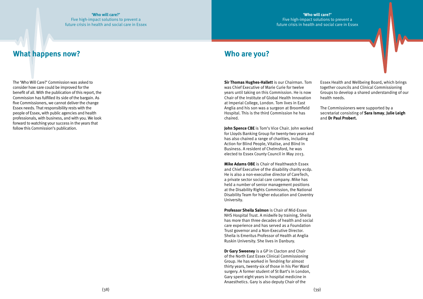**'Who will care?'**

Five high-impact solutions to prevent a future crisis in health and social care in Essex

The 'Who Will Care?' Commission was asked to consider how care could be improved for the benefit of all. With the publication of this report, the Commission has fulfilled its side of the bargain. As five Commissioners, we cannot deliver the change Essex needs. That responsibility rests with the people of Essex, with public agencies and health professionals, with business, and with you. We look forward to watching your success in the years that follow this Commission's publication.

## **What happens now? Who are you?**

**Sir Thomas Hughes-Hallett** is our Chairman. Tom was Chief Executive of Marie Curie for twelve years until taking on this Commission. He is now Chair of the Institute of Global Health Innovation at Imperial College, London. Tom lives in East Anglia and his son was a surgeon at Broomfield Hospital. This is the third Commission he has chaired.

**John Spence CBE** is Tom's Vice Chair. John worked for Lloyds Banking Group for twenty-two years and has also chaired a range of charities, including Action for Blind People, Vitalise, and Blind In Business. A resident of Chelmsford, he was elected to Essex County Council in May 2013.

**Mike Adams OBE** is Chair of Healthwatch Essex and Chief Executive of the disability charity ecdp. He is also a non-executive director of CareTech, a private sector social care company. Mike has held a number of senior management positions at the Disability Rights Commission, the National Disability Team for higher education and Coventry University.

**Professor Sheila Salmon** is Chair of Mid-Essex NHS Hospital Trust. A midwife by training, Sheila has more than three decades of health and social care experience and has served as a Foundation Trust governor and a Non-Executive Director. Sheila is Emeritus Professor of Health at Anglia Ruskin University. She lives in Danbury.

**Dr Gary Sweeney** is a GP in Clacton and Chair of the North East Essex Clinical Commissioning Group. He has worked in Tendring for almost thirty years, twenty-six of those in his Pier Ward surgery. A former student of St Bart's in London, Gary spent eight years in hospital medicine in Anaesthetics. Gary is also deputy Chair of the

Essex Health and Wellbeing Board, which brings together councils and Clinical Commissioning Groups to develop a shared understanding of our health needs.

The Commissioners were supported by a secretariat consisting of **Sara Ismay**, **Julie Leigh** and **Dr Paul Probert.**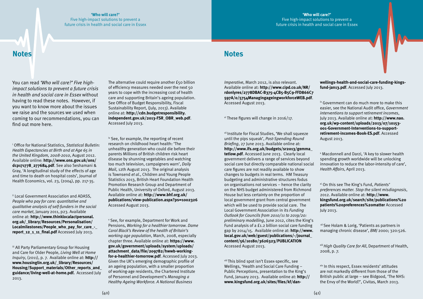#### **'Who will care?'** Five high-impact solutions to prevent a future crisis in health and social care in Essex

## **Notes Notes**

You can read *'Who will care?' Five highimpact solutions to prevent a future crisis in health and social care in Essex* without having to read these notes. However, if you want to know more about the issues we raise and the sources we used when coming to our recommendations, you can find out more here.

i Office for National Statistics, *Statistical Bulletin: Health Expectancies at Birth and at Age 65 in the United Kingdom, 2008-2010*, August 2012. Available online: **[http://www.ons.gov.uk/ons/](http://www.ons.gov.uk/ons/dcp171778_277684.pdf) [dcp171778\\_277684.pdf](http://www.ons.gov.uk/ons/dcp171778_277684.pdf)**. See also Seshamani & Gray, 'A longitudinal study of the effects of age and time to death on hospital costs', Journal of Health Economics, vol. 23, (2004), pp. 217-35.

iii All Party Parliamentary Group for Housing and Care for Older People, *Living Well at Home Inquiry*, (2011), p. 7. Available online at: **[http://](http://www.housinglin.org.uk/_library/Resources/Housing/Support_materials/Other_reports_and_guidance/living-well-at-home.pdf) [www.housinglin.org.uk/\\_library/Resources/](http://www.housinglin.org.uk/_library/Resources/Housing/Support_materials/Other_reports_and_guidance/living-well-at-home.pdf) [Housing/Support\\_materials/Other\\_reports\\_and\\_](http://www.housinglin.org.uk/_library/Resources/Housing/Support_materials/Other_reports_and_guidance/living-well-at-home.pdf) [guidance/living-well-at-home.pdf.](http://www.housinglin.org.uk/_library/Resources/Housing/Support_materials/Other_reports_and_guidance/living-well-at-home.pdf)** Accessed July 2013.

ii Local Government Association and ADASS, *People who pay for care: quantitative and qualitative analysis of self-funders in the social care market*, January 2011, p23. Available online at: **[http://www.thinklocalactpersonal.](http://www.thinklocalactpersonal.org.uk/_library/Resources/Personalisation/Localmilestones/People_who_pay_for_care_-_report_12_1_11_final.pdf) [org.uk/\\_library/Resources/Personalisation/](http://www.thinklocalactpersonal.org.uk/_library/Resources/Personalisation/Localmilestones/People_who_pay_for_care_-_report_12_1_11_final.pdf)** Localmilestones/People who pay for care **[report\\_12\\_1\\_11\\_final.pdf](http://www.thinklocalactpersonal.org.uk/_library/Resources/Personalisation/Localmilestones/People_who_pay_for_care_-_report_12_1_11_final.pdf)** Accessed July 2013.

iv See, for example, the reporting of recent research on childhood heart health: 'The unhealthy generation who could die before their parents Millions of British children risk heart disease by shunning vegetables and watching too much television, campaigners warn', *Daily Mail*, 12th August 2013. The original analysis is Townsend *et al*., Children and Young People Statistics 2013, British Heart Foundation Health Promotion Research Group and Department of Public Health, University of Oxford, August 2013. Available online at: **[http://www.bhf.org.uk/](http://www.bhf.org.uk/publications/view-publication.aspx?ps=1002326 ) [publications/view-publication.aspx?ps=1002326](http://www.bhf.org.uk/publications/view-publication.aspx?ps=1002326 )** Accessed August 2013.

The alternative could require another £50 billion of efficiency measures needed over the next 50 years to cope with the increasing cost of health care and supporting Britain's ageing population. See Office of Budget Responsibility, Fiscal Sustainability Report, (July, 2013). Available online at: **[http://cdn.budgetresponsibility.](http://cdn.budgetresponsibility.independent.gov.uk/2013-FSR_OBR_web.pdf) [independent.gov.uk/2013-FSR\\_OBR\\_web.pdf](http://cdn.budgetresponsibility.independent.gov.uk/2013-FSR_OBR_web.pdf)**. Accessed July 2013.

v See, for example, Department for Work and Pensions, *Working for a healthier tomorrow. Dame Carol Black's Review of the health of Britain's working age population*, March, 2008, especially chapter three. Available online at: **[https://www.](https://www.gov.uk/government/uploads/system/uploads/attachment_data/file/209782/hwwb-working-for-a-healthier-tomorrow.pdf) [gov.uk/government/uploads/system/uploads/](https://www.gov.uk/government/uploads/system/uploads/attachment_data/file/209782/hwwb-working-for-a-healthier-tomorrow.pdf) [attachment\\_data/file/209782/hwwb-working](https://www.gov.uk/government/uploads/system/uploads/attachment_data/file/209782/hwwb-working-for-a-healthier-tomorrow.pdf)[for-a-healthier-tomorrow.pdf](https://www.gov.uk/government/uploads/system/uploads/attachment_data/file/209782/hwwb-working-for-a-healthier-tomorrow.pdf)**. Accessed July 2013. Given the UK's emerging demographic profile of an ageing population, with a smaller proportion of working-age residents, the Chartered Institute of Personnel and Development's *Managing a Healthy Ageing Workforce. A National Business* 

*Imperative*, March 2012, is also relevant. Available online at: **[http://www.cipd.co.uk/NR/](http://www.cipd.co.uk/NR/rdonlyres/2778DBAC-B375-4CB5-B5C9-FFD866C7597A/0/5754ManagingageingworkforceWEB.pdf) [rdonlyres/2778DBAC-B375-4CB5-B5C9-FFD866C7](http://www.cipd.co.uk/NR/rdonlyres/2778DBAC-B375-4CB5-B5C9-FFD866C7597A/0/5754ManagingageingworkforceWEB.pdf) [597A/0/5754ManagingageingworkforceWEB.pdf](http://www.cipd.co.uk/NR/rdonlyres/2778DBAC-B375-4CB5-B5C9-FFD866C7597A/0/5754ManagingageingworkforceWEB.pdf)**. Accessed August 2013.

 $\vee$  These figures will change in 2016/17.

vii Institute for Fiscal Studies, 'We shall squeeze until the pips squeak', *Post-Spending Round Briefing*, 27 June 2013. Available online at: **[http://www.ifs.org.uk/budgets/sr2013/gemma\\_](http://www.ifs.org.uk/budgets/sr2013/gemma_tetlow.pdf) [tetlow.pdf](http://www.ifs.org.uk/budgets/sr2013/gemma_tetlow.pdf)**. Accessed June 2013. Clearly local government delivers a range of services beyond social care but directly comparable national social care figures are not readily available to show changes to budgets in real terms. HM Treasury budgeting and administrative structures fodus on organisations not services – hence the clarity on the NHS budget administered from Richmond House but less certainty on the proportion of local government grant from central government which will be used to provide social care. The Local Government Association in its *Funding Outlook for Councils from 2010/11 to 2019/20: preliminary modelling*, June 2012, cites the King's Fund analysis of a £1.2 billion social care funding gap by 2014/15. Available online at: **[http://www.](http://www.local.gov.uk/web/guest/publications/-/journal_content/56/10180/3626323/PUBLICATION  ) [local.gov.uk/web/guest/publications/-/journal\\_](http://www.local.gov.uk/web/guest/publications/-/journal_content/56/10180/3626323/PUBLICATION  ) [content/56/10180/3626323/PUBLICATION](http://www.local.gov.uk/web/guest/publications/-/journal_content/56/10180/3626323/PUBLICATION  )** Accessed August 2013.

viii This blind spot isn't Essex-specific, see Wellings, 'Health and Social Care Funding – Public Perceptions, presentation to the King's Fund, January 2013. Available online at: **[http://](http://www.kingsfund.org.uk/sites/files/kf/dan-wellings-health-and-social-care-funding-kings-fund-jan13.pdf) [www.kingsfund.org.uk/sites/files/kf/dan-](http://www.kingsfund.org.uk/sites/files/kf/dan-wellings-health-and-social-care-funding-kings-fund-jan13.pdf)** **[wellings-health-and-social-care-funding-kings](http://www.kingsfund.org.uk/sites/files/kf/dan-wellings-health-and-social-care-funding-kings-fund-jan13.pdf)[fund-jan13.pdf](http://www.kingsfund.org.uk/sites/files/kf/dan-wellings-health-and-social-care-funding-kings-fund-jan13.pdf)**. Accessed July 2013.

ix Government can do much more to make this easier, see the National Audit office, *Government interventions to support retirement incomes*, July 2013. Available online at: **[http://www.nao.](http://www.nao.org.uk/wp-content/uploads/2013/07/10153-001-Government-Interventions-to-support-retirement-incomes-Book-ES.pdf) [org.uk/wp-content/uploads/2013/07/10153-](http://www.nao.org.uk/wp-content/uploads/2013/07/10153-001-Government-Interventions-to-support-retirement-incomes-Book-ES.pdf) [001-Government-Interventions-to-support](http://www.nao.org.uk/wp-content/uploads/2013/07/10153-001-Government-Interventions-to-support-retirement-incomes-Book-ES.pdf)[retirement-incomes-Book-ES.pdf](http://www.nao.org.uk/wp-content/uploads/2013/07/10153-001-Government-Interventions-to-support-retirement-incomes-Book-ES.pdf)**. Accessed August 2013.

x Macdonnell and Darzi, 'A key to slower health spending growth worldwide will be unlocking innovation to reduce the labor-intensity of care', *Health Affairs*, April 2013.

xi On this see The King's Fund, *Patients' preferences matter. Stop the silent misdiagnosis*, 2012. Available online at: **[http://www.](http://www.kingsfund.org.uk/search/site/publications%20patients%20preferences%20matter) [kingsfund.org.uk/search/site/publications%20](http://www.kingsfund.org.uk/search/site/publications%20patients%20preferences%20matter) [patients%20preferences%20matter](http://www.kingsfund.org.uk/search/site/publications%20patients%20preferences%20matter)** Accessed July 2013.

 xii See Holam & Lorig, 'Patients as partners in managing chronic disease', *BMJ* 2000; 320:526.

xiii *High Quality Care for All*, Department of Health, 2008, p. 7.

xiv In this respect, Essex residents' attitudes are not markedly different from those of the British public at large – see Bidgood, 'The NHS: the Envy of the World?', Civitas, March 2013.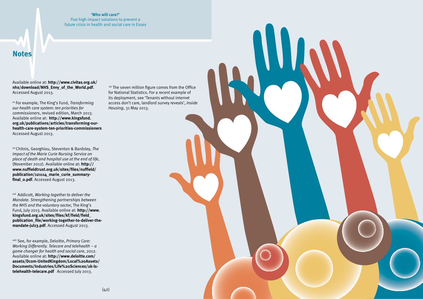#### **'Who will care?'**

Five high-impact solutions to prevent a future crisis in health and social care in Essex

## **Notes**

Available online at: **[http://www.civitas.org.uk/](http://www.civitas.org.uk/nhs/download/NHS_Envy_of_the_World.pdf) [nhs/download/NHS\\_Envy\\_of\\_the\\_World.pdf](http://www.civitas.org.uk/nhs/download/NHS_Envy_of_the_World.pdf)**. Accessed August 2013.

xv For example, The King's Fund, *Transforming our health care system: ten priorities for commissioners*, revised edition, March 2013. Available online at: **[http://www.kingsfund.](http://www.kingsfund.org.uk/publications/articles/transforming-our-health-care-system-ten-priorities-commissioners) [org.uk/publications/articles/transforming-our](http://www.kingsfund.org.uk/publications/articles/transforming-our-health-care-system-ten-priorities-commissioners)[health-care-system-ten-priorities-commissioners](http://www.kingsfund.org.uk/publications/articles/transforming-our-health-care-system-ten-priorities-commissioners)**  Accessed August 2013.

xvi Chitnis, Georghiou, Steventon & Bardsley, *The impact of the Marie Curie Nursing Service on place of death and hospital use at the end of life*, (November 2012). Available online at: **[http://](http://www.nuffieldtrust.org.uk/sites/files/nuffield/publication/121114_marie_curie_summary-final_0.pdf) [www.nuffieldtrust.org.uk/sites/files/nuffield/](http://www.nuffieldtrust.org.uk/sites/files/nuffield/publication/121114_marie_curie_summary-final_0.pdf) [publication/121114\\_marie\\_curie\\_summary](http://www.nuffieldtrust.org.uk/sites/files/nuffield/publication/121114_marie_curie_summary-final_0.pdf)[final\\_0.pdf](http://www.nuffieldtrust.org.uk/sites/files/nuffield/publication/121114_marie_curie_summary-final_0.pdf)**. Accessed August 2013.

xvii Addicott, *Working together to deliver the Mandate. Strengthening partnerships between the NHS and the voluntary sector,* The King's Fund, July 2013. Available online at: **[http://www.](http://www.kingsfund.org.uk/sites/files/kf/field/field_publication_file/working-together-to-deliver-the-mandate-jul13.pdf) [kingsfund.org.uk/sites/files/kf/field/field\\_](http://www.kingsfund.org.uk/sites/files/kf/field/field_publication_file/working-together-to-deliver-the-mandate-jul13.pdf) [publication\\_file/working-together-to-deliver-the](http://www.kingsfund.org.uk/sites/files/kf/field/field_publication_file/working-together-to-deliver-the-mandate-jul13.pdf)[mandate-jul13.pdf](http://www.kingsfund.org.uk/sites/files/kf/field/field_publication_file/working-together-to-deliver-the-mandate-jul13.pdf)**. Accessed August 2013.

xviii See, for example, Deloitte, *Primary Care: Working Differently. Telecare and telehealth – a game changer for health and social care*, 2012. Available online at: **[http://www.deloitte.com/](http://www.deloitte.com/assets/Dcom-UnitedKingdom/Local%20Assets/Documents/Industries/Life%20Sciences/uk-ls-telehealth-telecare.pdf) [assets/Dcom-UnitedKingdom/Local%20Assets/](http://www.deloitte.com/assets/Dcom-UnitedKingdom/Local%20Assets/Documents/Industries/Life%20Sciences/uk-ls-telehealth-telecare.pdf) [Documents/Industries/Life%20Sciences/uk-ls](http://www.deloitte.com/assets/Dcom-UnitedKingdom/Local%20Assets/Documents/Industries/Life%20Sciences/uk-ls-telehealth-telecare.pdf)[telehealth-telecare.pdf](http://www.deloitte.com/assets/Dcom-UnitedKingdom/Local%20Assets/Documents/Industries/Life%20Sciences/uk-ls-telehealth-telecare.pdf)** Accessed July 2013.

 xix The seven million figure comes from the Office for National Statistics. For a recent example of its deployment, see 'Tenants without internet access don't care, landlord survey reveals', *Inside Housing*, 31 May 2013.